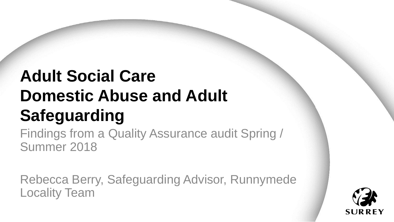# **Adult Social Care Domestic Abuse and Adult Safeguarding**

Findings from a Quality Assurance audit Spring / Summer 2018

Rebecca Berry, Safeguarding Advisor, Runnymede Locality Team

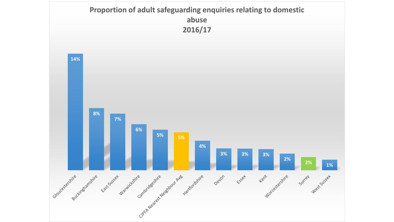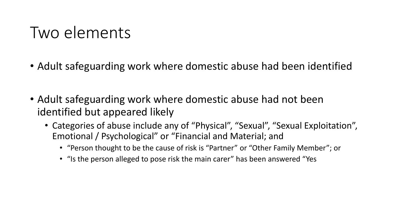### Two elements

- Adult safeguarding work where domestic abuse had been identified
- Adult safeguarding work where domestic abuse had not been identified but appeared likely
	- Categories of abuse include any of "Physical", "Sexual", "Sexual Exploitation", Emotional / Psychological" or "Financial and Material; and
		- "Person thought to be the cause of risk is "Partner" or "Other Family Member"; or
		- "Is the person alleged to pose risk the main carer" has been answered "Yes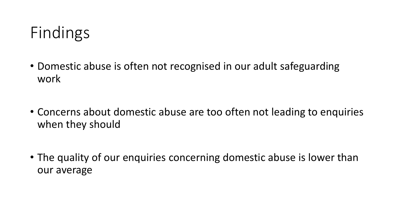

- Domestic abuse is often not recognised in our adult safeguarding work
- Concerns about domestic abuse are too often not leading to enquiries when they should
- The quality of our enquiries concerning domestic abuse is lower than our average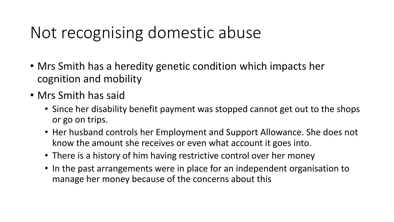## Not recognising domestic abuse

- Mrs Smith has a heredity genetic condition which impacts her cognition and mobility
- Mrs Smith has said
	- Since her disability benefit payment was stopped cannot get out to the shops or go on trips.
	- Her husband controls her Employment and Support Allowance. She does not know the amount she receives or even what account it goes into.
	- There is a history of him having restrictive control over her money
	- In the past arrangements were in place for an independent organisation to manage her money because of the concerns about this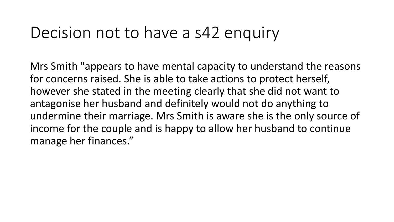### Decision not to have a s42 enquiry

Mrs Smith "appears to have mental capacity to understand the reasons for concerns raised. She is able to take actions to protect herself, however she stated in the meeting clearly that she did not want to antagonise her husband and definitely would not do anything to undermine their marriage. Mrs Smith is aware she is the only source of income for the couple and is happy to allow her husband to continue manage her finances."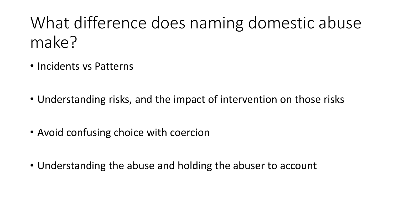# What difference does naming domestic abuse make?

- Incidents vs Patterns
- Understanding risks, and the impact of intervention on those risks
- Avoid confusing choice with coercion
- Understanding the abuse and holding the abuser to account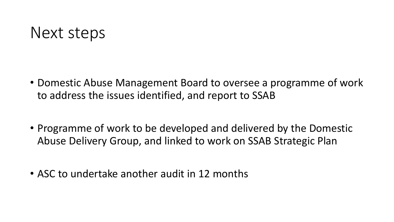#### Next steps

- Domestic Abuse Management Board to oversee a programme of work to address the issues identified, and report to SSAB
- Programme of work to be developed and delivered by the Domestic Abuse Delivery Group, and linked to work on SSAB Strategic Plan
- ASC to undertake another audit in 12 months